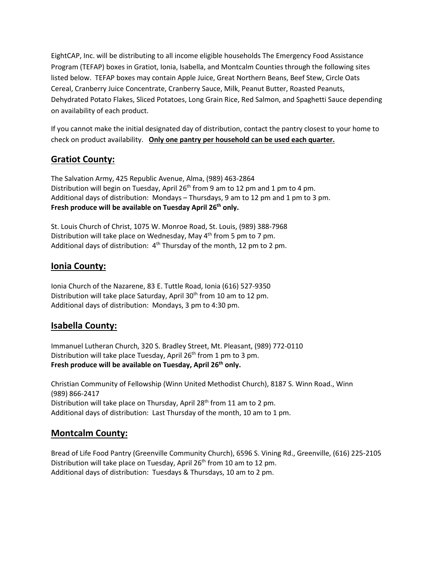EightCAP, Inc. will be distributing to all income eligible households The Emergency Food Assistance Program (TEFAP) boxes in Gratiot, Ionia, Isabella, and Montcalm Counties through the following sites listed below. TEFAP boxes may contain Apple Juice, Great Northern Beans, Beef Stew, Circle Oats Cereal, Cranberry Juice Concentrate, Cranberry Sauce, Milk, Peanut Butter, Roasted Peanuts, Dehydrated Potato Flakes, Sliced Potatoes, Long Grain Rice, Red Salmon, and Spaghetti Sauce depending on availability of each product.

If you cannot make the initial designated day of distribution, contact the pantry closest to your home to check on product availability. **Only one pantry per household can be used each quarter.**

# **Gratiot County:**

The Salvation Army, 425 Republic Avenue, Alma, (989) 463-2864 Distribution will begin on Tuesday, April 26<sup>th</sup> from 9 am to 12 pm and 1 pm to 4 pm. Additional days of distribution: Mondays – Thursdays, 9 am to 12 pm and 1 pm to 3 pm. Fresh produce will be available on Tuesday April 26<sup>th</sup> only.

St. Louis Church of Christ, 1075 W. Monroe Road, St. Louis, (989) 388-7968 Distribution will take place on Wednesday, May 4<sup>th</sup> from 5 pm to 7 pm. Additional days of distribution:  $4<sup>th</sup>$  Thursday of the month, 12 pm to 2 pm.

### **Ionia County:**

Ionia Church of the Nazarene, 83 E. Tuttle Road, Ionia (616) 527-9350 Distribution will take place Saturday, April 30<sup>th</sup> from 10 am to 12 pm. Additional days of distribution: Mondays, 3 pm to 4:30 pm.

#### **Isabella County:**

Immanuel Lutheran Church, 320 S. Bradley Street, Mt. Pleasant, (989) 772-0110 Distribution will take place Tuesday, April 26<sup>th</sup> from 1 pm to 3 pm. **Fresh produce will be available on Tuesday, April 26th only.**

Christian Community of Fellowship (Winn United Methodist Church), 8187 S. Winn Road., Winn (989) 866-2417 Distribution will take place on Thursday, April 28<sup>th</sup> from 11 am to 2 pm. Additional days of distribution: Last Thursday of the month, 10 am to 1 pm.

#### **Montcalm County:**

Bread of Life Food Pantry (Greenville Community Church), 6596 S. Vining Rd., Greenville, (616) 225-2105 Distribution will take place on Tuesday, April 26<sup>th</sup> from 10 am to 12 pm. Additional days of distribution: Tuesdays & Thursdays, 10 am to 2 pm.